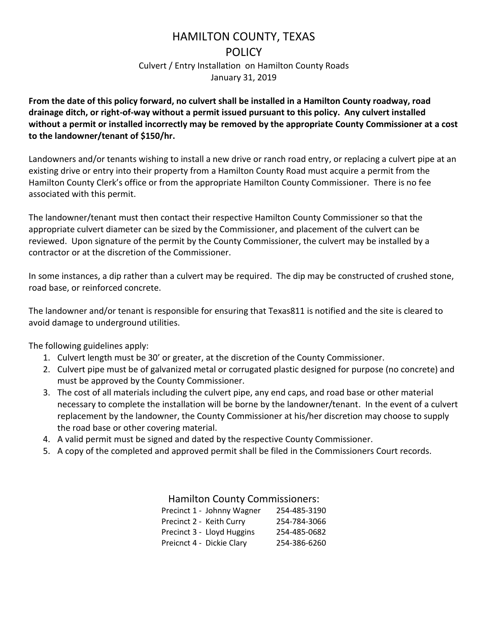# HAMILTON COUNTY, TEXAS

#### **POLICY**

Culvert / Entry Installation on Hamilton County Roads January 31, 2019

**From the date of this policy forward, no culvert shall be installed in a Hamilton County roadway, road drainage ditch, or right-of-way without a permit issued pursuant to this policy. Any culvert installed without a permit or installed incorrectly may be removed by the appropriate County Commissioner at a cost to the landowner/tenant of \$150/hr.** 

Landowners and/or tenants wishing to install a new drive or ranch road entry, or replacing a culvert pipe at an existing drive or entry into their property from a Hamilton County Road must acquire a permit from the Hamilton County Clerk's office or from the appropriate Hamilton County Commissioner. There is no fee associated with this permit.

The landowner/tenant must then contact their respective Hamilton County Commissioner so that the appropriate culvert diameter can be sized by the Commissioner, and placement of the culvert can be reviewed. Upon signature of the permit by the County Commissioner, the culvert may be installed by a contractor or at the discretion of the Commissioner.

In some instances, a dip rather than a culvert may be required. The dip may be constructed of crushed stone, road base, or reinforced concrete.

The landowner and/or tenant is responsible for ensuring that Texas811 is notified and the site is cleared to avoid damage to underground utilities.

The following guidelines apply:

- 1. Culvert length must be 30' or greater, at the discretion of the County Commissioner.
- 2. Culvert pipe must be of galvanized metal or corrugated plastic designed for purpose (no concrete) and must be approved by the County Commissioner.
- 3. The cost of all materials including the culvert pipe, any end caps, and road base or other material necessary to complete the installation will be borne by the landowner/tenant. In the event of a culvert replacement by the landowner, the County Commissioner at his/her discretion may choose to supply the road base or other covering material.
- 4. A valid permit must be signed and dated by the respective County Commissioner.
- 5. A copy of the completed and approved permit shall be filed in the Commissioners Court records.

### Hamilton County Commissioners:

| 254-485-3190 |
|--------------|
| 254-784-3066 |
| 254-485-0682 |
| 254-386-6260 |
|              |